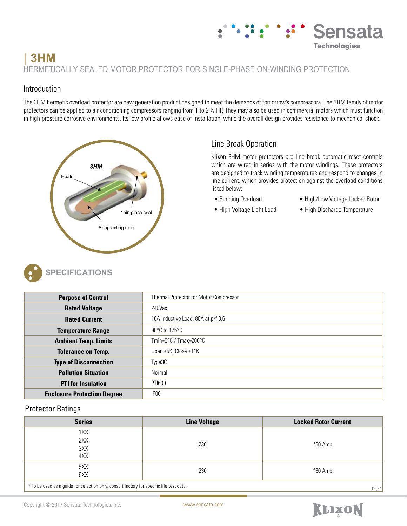## **Technologies | 3HM** HERMETICALLY SEALED MOTOR PROTECTOR FOR SINGLE-PHASE ON-WINDING PROTECTION

## Introduction

The 3HM hermetic overload protector are new generation product designed to meet the demands of tomorrow's compressors. The 3HM family of motor protectors can be applied to air conditioning compressors ranging from 1 to  $2\not\equiv$  HP. They may also be used in commercial motors which must function in high-pressure corrosive environments. Its low profile allows ease of installation, while the overall design provides resistance to mechanical shock.



# Line Break Operation

Klixon 3HM motor protectors are line break automatic reset controls which are wired in series with the motor windings. These protectors are designed to track winding temperatures and respond to changes in line current, which provides protection against the overload conditions listed below:

- 
- Running Overload High/Low Voltage Locked Rotor

Sensata

- High Voltage Light Load High Discharge Temperature
- -



| <b>Purpose of Control</b>          | Thermal Protector for Motor Compressor    |  |  |
|------------------------------------|-------------------------------------------|--|--|
| <b>Rated Voltage</b>               | 240Vac                                    |  |  |
| <b>Rated Current</b>               | 16A Inductive Load, 80A at p/f 0.6        |  |  |
| <b>Temperature Range</b>           | $90^{\circ}$ C to 175 $^{\circ}$ C        |  |  |
| <b>Ambient Temp. Limits</b>        | Tmin=0 $\degree$ C / Tmax=200 $\degree$ C |  |  |
| <b>Tolerance on Temp.</b>          | Open ±5K, Close ±11K                      |  |  |
| <b>Type of Disconnection</b>       | Type3C                                    |  |  |
| <b>Pollution Situation</b>         | Normal                                    |  |  |
| <b>PTI</b> for Insulation          | <b>PTI600</b>                             |  |  |
| <b>Enclosure Protection Degree</b> | IP <sub>00</sub>                          |  |  |

### Protector Ratings

| <b>Series</b>            | <b>Line Voltage</b> | <b>Locked Rotor Current</b> |
|--------------------------|---------------------|-----------------------------|
| 1XX<br>2XX<br>3XX<br>4XX | 230                 | $*60$ Amp                   |
| 5XX<br>6XX               | 230                 | $*80$ Amp                   |

\* To be used as a guide for selection only, consult factory for specific life test data.



Page 1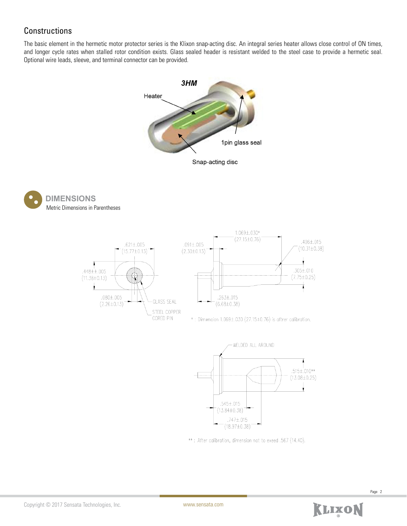## **Constructions**

The basic element in the hermetic motor protector series is the Klixon snap-acting disc. An integral series heater allows close control of ON times, and longer cycle rates when stalled rotor condition exists. Glass sealed header is resistant welded to the steel case to provide a hermetic seal. Optional wire leads, sleeve, and terminal connector can be provided.









\*\*: After calibration, dimension not to exeed .567 (14.40).



Page 2